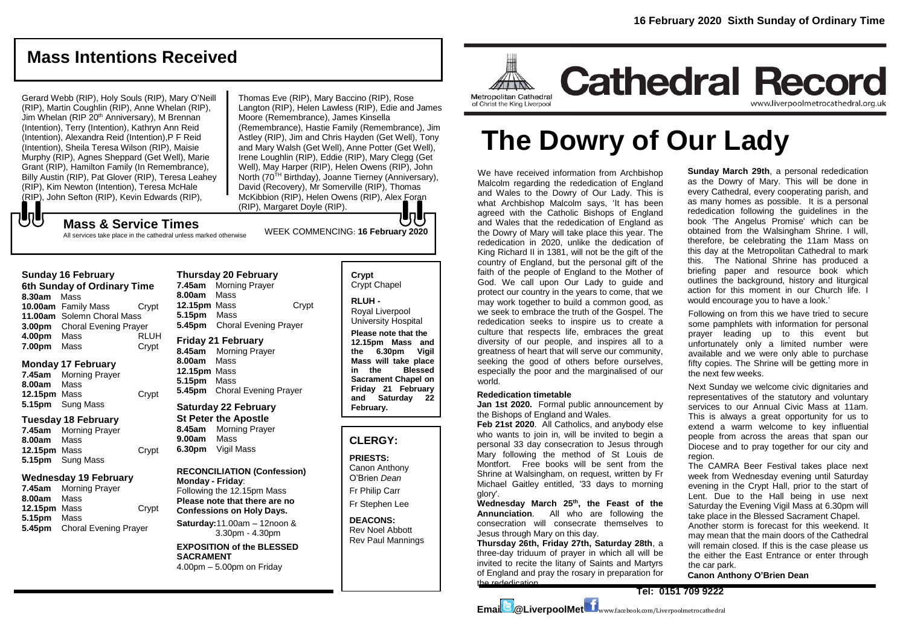# **Mass Intentions Received**

Gerard Webb (RIP), Holy Souls (RIP), Mary O'Neill (RIP), Martin Coughlin (RIP), Anne Whelan (RIP), Jim Whelan (RIP 20<sup>th</sup> Anniversary), M Brennan (Intention), Terry (Intention), Kathryn Ann Reid (Intention), Alexandra Reid (Intention),P F Reid (Intention), Sheila Teresa Wilson (RIP), Maisie Murphy (RIP), Agnes Sheppard (Get Well), Marie Grant (RIP), Hamilton Family (In Remembrance), Billy Austin (RIP), Pat Glover (RIP), Teresa Leahey (RIP), Kim Newton (Intention), Teresa McHale (RIP), John Sefton (RIP), Kevin Edwards (RIP),

WEEK COMMENCING: **<sup>16</sup> February 2020 Mass & Service Times** Thomas Eve (RIP), Mary Baccino (RIP), Rose Langton (RIP), Helen Lawless (RIP), Edie and James Moore (Remembrance), James Kinsella (Remembrance), Hastie Family (Remembrance), Jim Astley (RIP), Jim and Chris Hayden (Get Well), Tony and Mary Walsh (Get Well), Anne Potter (Get Well), Irene Loughlin (RIP), Eddie (RIP), Mary Clegg (Get Well), May Harper (RIP), Helen Owens (RIP), John North (70<sup>TH</sup> Birthday), Joanne Tierney (Anniversary), David (Recovery), Mr Somerville (RIP), Thomas McKibbion (RIP), Helen Owens (RIP), Alex Foran (RIP), Margaret Doyle (RIP).

All services take place in the cathedral unless marked otherwise

### **Sunday 16 February**

もし

**6th Sunday of Ordinary Time 8.30am** Mass **10.00am** Family Mass Crypt **11.00am** Solemn Choral Mass **3.00pm** Choral Evening Prayer **4.00pm** Mass RLUH **7.00pm** Mass Crypt

### **Monday 17 February**

**7.45am** Morning Prayer **8.00am** Mass **12.15pm** Mass Crypt **5.15pm** Sung Mass

### **Tuesday 18 February**

**7.45am** Morning Prayer **8.00am** Mass **12.15pm** Mass Crypt **5.15pm** Sung Mass

### **Wednesday 19 February**

**7.45am** Morning Prayer **8.00am** Mass **12.15pm** Mass Crypt **5.15pm** Mass **5.45pm** Choral Evening Prayer

# **Thursday 20 February**

**7.45am** Morning Prayer **8.00am** Mass **12.15pm** Mass Crypt **5.15pm** Mass **5.45pm** Choral Evening Prayer

### **Friday 21 February**

**8.45am** Morning Prayer **8.00am** Mass **12.15pm** Mass **5.15pm** Mass **5.45pm** Choral Evening Prayer

# **Saturday 22 February St Peter the Apostle 8.45am** Morning Prayer

**9.00am** Mass **6.30pm** Vigil Mass

### **RECONCILIATION (Confession) Monday - Friday**: Following the 12.15pm Mass

**Please note that there are no Confessions on Holy Days.**

**Saturday:**11.00am – 12noon & 3.30pm - 4.30pm

**EXPOSITION of the BLESSED SACRAMENT** 4.00pm – 5.00pm on Friday

#### **Crypt**  Crypt Chapel

**RLUH -** Royal Liverpool

University Hospital **Please note that the 12.15pm Mass and the 6.30pm Vigil** 

**Mass will take place in the Blessed Sacrament Chapel on Friday 21 February and Saturday 22 February.**

# **CLERGY:**

**PRIESTS:**

Canon Anthony O'Brien *Dean*

Fr Philip Carr Fr Stephen Lee

### **DEACONS:** Rev Noel Abbott Rev Paul Mannings



# **The Dowry of Our Lady**

We have received information from Archbishop Malcolm regarding the rededication of England and Wales to the Dowry of Our Lady. This is what Archbishop Malcolm says, 'It has been agreed with the Catholic Bishops of England and Wales that the rededication of England as the Dowry of Mary will take place this year. The rededication in 2020, unlike the dedication of King Richard II in 1381, will not be the gift of the country of England, but the personal gift of the faith of the people of England to the Mother of God. We call upon Our Lady to guide and protect our country in the years to come, that we may work together to build a common good, as we seek to embrace the truth of the Gospel. The rededication seeks to inspire us to create a culture that respects life, embraces the great diversity of our people, and inspires all to a greatness of heart that will serve our community, seeking the good of others before ourselves, especially the poor and the marginalised of our world.

#### **Rededication timetable**

**Jan 1st 2020.** Formal public announcement by the Bishops of England and Wales.

**Feb 21st 2020**. All Catholics, and anybody else who wants to join in, will be invited to begin a personal 33 day consecration to Jesus through Mary following the method of St Louis de Montfort. Free books will be sent from the Shrine at Walsingham, on request, written by Fr Michael Gaitley entitled, '33 days to morning glory'.

**Wednesday March 25th, the Feast of the Annunciation**. All who are following the consecration will consecrate themselves to Jesus through Mary on this day.

**Thursday 26th, Friday 27th, Saturday 28th**, a three-day triduum of prayer in which all will be invited to recite the litany of Saints and Martyrs of England and pray the rosary in preparation for the rededication.

**Sunday March 29th**, a personal rededication as the Dowry of Mary. This will be done in every Cathedral, every cooperating parish, and as many homes as possible. It is a personal rededication following the guidelines in the book 'The Angelus Promise' which can be obtained from the Walsingham Shrine. I will, therefore, be celebrating the 11am Mass on this day at the Metropolitan Cathedral to mark this. The National Shrine has produced a briefing paper and resource book which outlines the background, history and liturgical action for this moment in our Church life. I would encourage you to have a look.'

Following on from this we have tried to secure some pamphlets with information for personal prayer leading up to this event but unfortunately only a limited number were available and we were only able to purchase fifty copies. The Shrine will be getting more in the next few weeks.

Next Sunday we welcome civic dignitaries and representatives of the statutory and voluntary services to our Annual Civic Mass at 11am. This is always a great opportunity for us to extend a warm welcome to key influential people from across the areas that span our Diocese and to pray together for our city and region.

The CAMRA Beer Festival takes place next week from Wednesday evening until Saturday evening in the Crypt Hall, prior to the start of Lent. Due to the Hall being in use next Saturday the Evening Vigil Mass at 6.30pm will take place in the Blessed Sacrament Chapel.

Another storm is forecast for this weekend. It may mean that the main doors of the Cathedral will remain closed. If this is the case please us the either the East Entrance or enter through the car park.

**Canon Anthony O'Brien Dean**